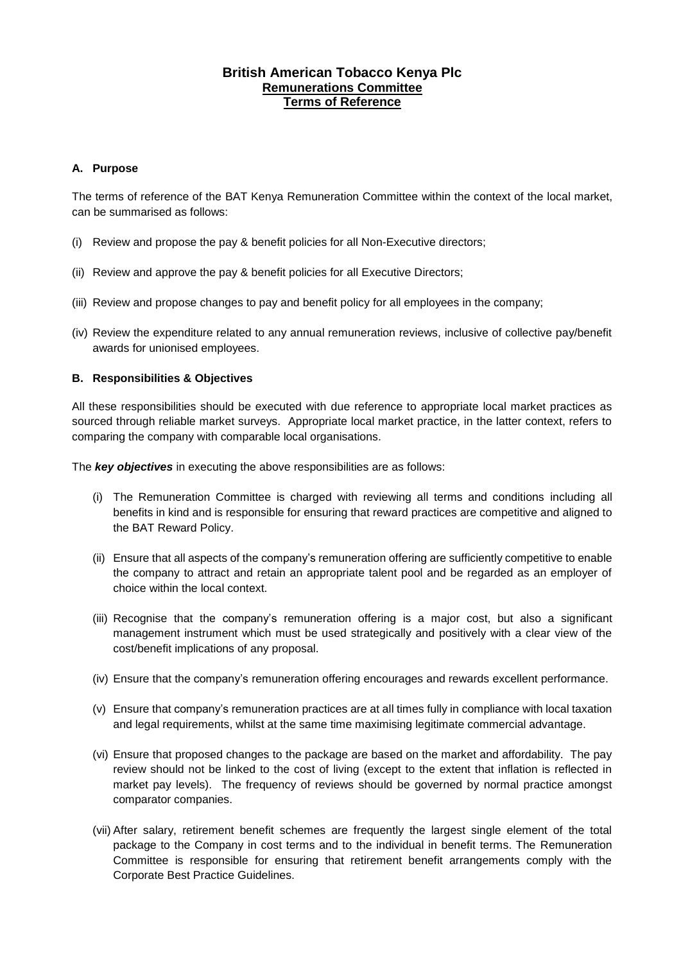# **British American Tobacco Kenya Plc Remunerations Committee Terms of Reference**

# **A. Purpose**

The terms of reference of the BAT Kenya Remuneration Committee within the context of the local market, can be summarised as follows:

- (i) Review and propose the pay & benefit policies for all Non-Executive directors;
- (ii) Review and approve the pay & benefit policies for all Executive Directors;
- (iii) Review and propose changes to pay and benefit policy for all employees in the company;
- (iv) Review the expenditure related to any annual remuneration reviews, inclusive of collective pay/benefit awards for unionised employees.

# **B. Responsibilities & Objectives**

All these responsibilities should be executed with due reference to appropriate local market practices as sourced through reliable market surveys. Appropriate local market practice, in the latter context, refers to comparing the company with comparable local organisations.

The *key objectives* in executing the above responsibilities are as follows:

- (i) The Remuneration Committee is charged with reviewing all terms and conditions including all benefits in kind and is responsible for ensuring that reward practices are competitive and aligned to the BAT Reward Policy.
- (ii) Ensure that all aspects of the company's remuneration offering are sufficiently competitive to enable the company to attract and retain an appropriate talent pool and be regarded as an employer of choice within the local context.
- (iii) Recognise that the company's remuneration offering is a major cost, but also a significant management instrument which must be used strategically and positively with a clear view of the cost/benefit implications of any proposal.
- (iv) Ensure that the company's remuneration offering encourages and rewards excellent performance.
- (v) Ensure that company's remuneration practices are at all times fully in compliance with local taxation and legal requirements, whilst at the same time maximising legitimate commercial advantage.
- (vi) Ensure that proposed changes to the package are based on the market and affordability. The pay review should not be linked to the cost of living (except to the extent that inflation is reflected in market pay levels). The frequency of reviews should be governed by normal practice amongst comparator companies.
- (vii) After salary, retirement benefit schemes are frequently the largest single element of the total package to the Company in cost terms and to the individual in benefit terms. The Remuneration Committee is responsible for ensuring that retirement benefit arrangements comply with the Corporate Best Practice Guidelines.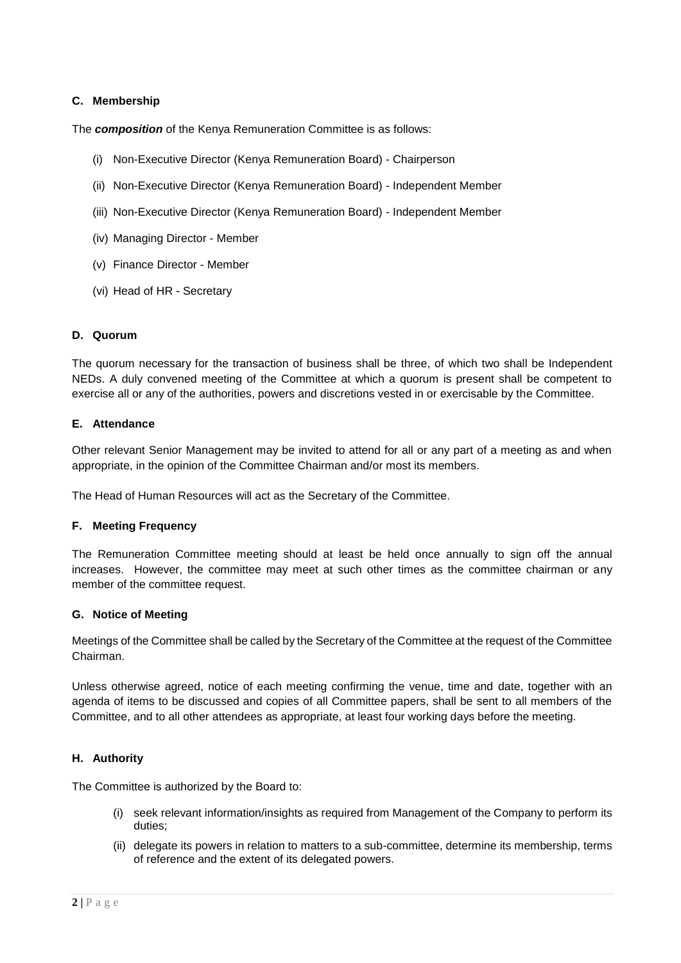# **C. Membership**

The *composition* of the Kenya Remuneration Committee is as follows:

- (i) Non-Executive Director (Kenya Remuneration Board) Chairperson
- (ii) Non-Executive Director (Kenya Remuneration Board) Independent Member
- (iii) Non-Executive Director (Kenya Remuneration Board) Independent Member
- (iv) Managing Director Member
- (v) Finance Director Member
- (vi) Head of HR Secretary

### **D. Quorum**

The quorum necessary for the transaction of business shall be three, of which two shall be Independent NEDs. A duly convened meeting of the Committee at which a quorum is present shall be competent to exercise all or any of the authorities, powers and discretions vested in or exercisable by the Committee.

### **E. Attendance**

Other relevant Senior Management may be invited to attend for all or any part of a meeting as and when appropriate, in the opinion of the Committee Chairman and/or most its members.

The Head of Human Resources will act as the Secretary of the Committee.

#### **F. Meeting Frequency**

The Remuneration Committee meeting should at least be held once annually to sign off the annual increases. However, the committee may meet at such other times as the committee chairman or any member of the committee request.

#### **G. Notice of Meeting**

Meetings of the Committee shall be called by the Secretary of the Committee at the request of the Committee Chairman.

Unless otherwise agreed, notice of each meeting confirming the venue, time and date, together with an agenda of items to be discussed and copies of all Committee papers, shall be sent to all members of the Committee, and to all other attendees as appropriate, at least four working days before the meeting.

## **H. Authority**

The Committee is authorized by the Board to:

- (i) seek relevant information/insights as required from Management of the Company to perform its duties;
- (ii) delegate its powers in relation to matters to a sub-committee, determine its membership, terms of reference and the extent of its delegated powers.